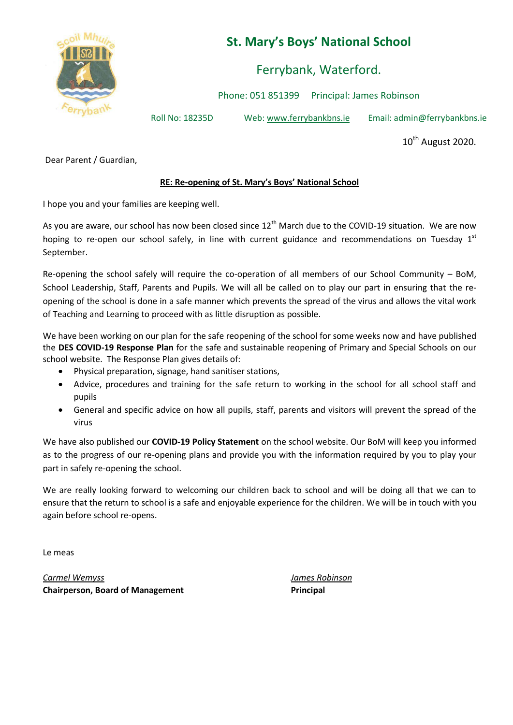

## **St. Mary's Boys' National School**

Ferrybank, Waterford.

Phone: 051 851399 Principal: James Robinson

Roll No: 18235D Web: www.ferrybankbns.ie Email: admin@ferrybankbns.ie

10<sup>th</sup> August 2020.

Dear Parent / Guardian,

## **RE: Re-opening of St. Mary's Boys' National School**

I hope you and your families are keeping well.

As you are aware, our school has now been closed since  $12<sup>th</sup>$  March due to the COVID-19 situation. We are now hoping to re-open our school safely, in line with current guidance and recommendations on Tuesday  $1<sup>st</sup>$ September.

Re-opening the school safely will require the co-operation of all members of our School Community – BoM, School Leadership, Staff, Parents and Pupils. We will all be called on to play our part in ensuring that the reopening of the school is done in a safe manner which prevents the spread of the virus and allows the vital work of Teaching and Learning to proceed with as little disruption as possible.

We have been working on our plan for the safe reopening of the school for some weeks now and have published the **DES COVID-19 Response Plan** for the safe and sustainable reopening of Primary and Special Schools on our school website. The Response Plan gives details of:

- Physical preparation, signage, hand sanitiser stations,
- Advice, procedures and training for the safe return to working in the school for all school staff and pupils
- General and specific advice on how all pupils, staff, parents and visitors will prevent the spread of the virus

We have also published our **COVID-19 Policy Statement** on the school website. Our BoM will keep you informed as to the progress of our re-opening plans and provide you with the information required by you to play your part in safely re-opening the school.

We are really looking forward to welcoming our children back to school and will be doing all that we can to ensure that the return to school is a safe and enjoyable experience for the children. We will be in touch with you again before school re-opens.

Le meas

*Carmel Wemyss James Robinson* **Chairperson, Board of Management Principal**